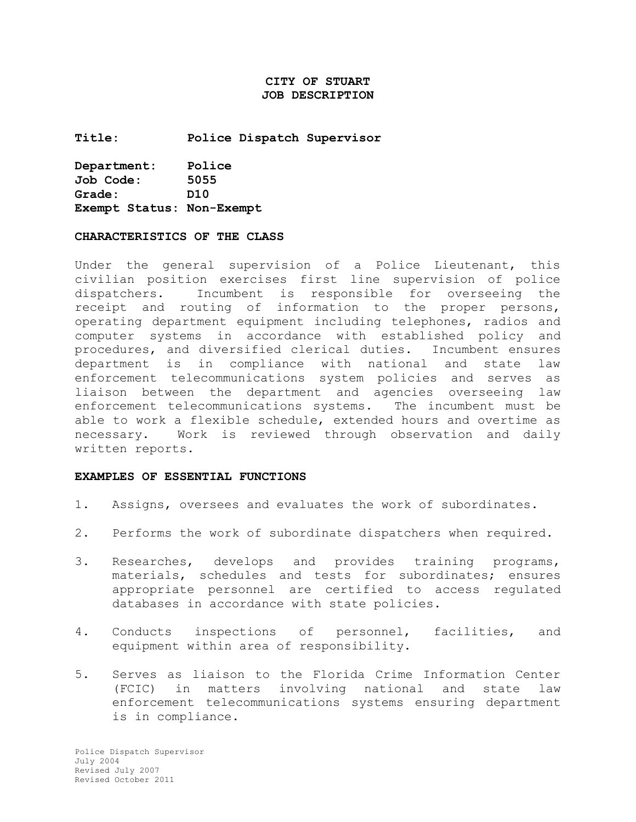# **CITY OF STUART JOB DESCRIPTION**

**Title: Police Dispatch Supervisor** 

| Department:               | Police |
|---------------------------|--------|
| Job Code:                 | 5055   |
| Grade:                    | D10    |
| Exempt Status: Non-Exempt |        |

#### **CHARACTERISTICS OF THE CLASS**

Under the general supervision of a Police Lieutenant, this civilian position exercises first line supervision of police dispatchers. Incumbent is responsible for overseeing the receipt and routing of information to the proper persons, operating department equipment including telephones, radios and computer systems in accordance with established policy and procedures, and diversified clerical duties. Incumbent ensures department is in compliance with national and state law enforcement telecommunications system policies and serves as liaison between the department and agencies overseeing law enforcement telecommunications systems. The incumbent must be able to work a flexible schedule, extended hours and overtime as necessary. Work is reviewed through observation and daily written reports.

#### **EXAMPLES OF ESSENTIAL FUNCTIONS**

- 1. Assigns, oversees and evaluates the work of subordinates.
- 2. Performs the work of subordinate dispatchers when required.
- 3. Researches, develops and provides training programs, materials, schedules and tests for subordinates; ensures appropriate personnel are certified to access regulated databases in accordance with state policies.
- 4. Conducts inspections of personnel, facilities, and equipment within area of responsibility.
- 5. Serves as liaison to the Florida Crime Information Center (FCIC) in matters involving national and state law enforcement telecommunications systems ensuring department is in compliance.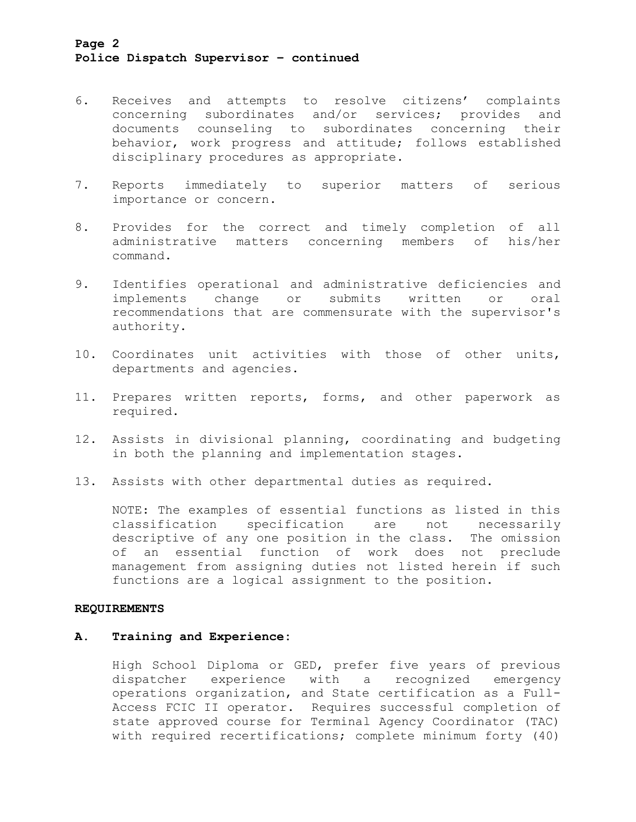# **Page 2 Police Dispatch Supervisor – continued**

- 6. Receives and attempts to resolve citizens' complaints concerning subordinates and/or services; provides and documents counseling to subordinates concerning their behavior, work progress and attitude; follows established disciplinary procedures as appropriate.
- 7. Reports immediately to superior matters of serious importance or concern.
- 8. Provides for the correct and timely completion of all administrative matters concerning members of his/her command.
- 9. Identifies operational and administrative deficiencies and implements change or submits written or oral recommendations that are commensurate with the supervisor's authority.
- 10. Coordinates unit activities with those of other units, departments and agencies.
- 11. Prepares written reports, forms, and other paperwork as required.
- 12. Assists in divisional planning, coordinating and budgeting in both the planning and implementation stages.
- 13. Assists with other departmental duties as required.

NOTE: The examples of essential functions as listed in this classification specification are not necessarily descriptive of any one position in the class. The omission of an essential function of work does not preclude management from assigning duties not listed herein if such functions are a logical assignment to the position.

## **REQUIREMENTS**

### **A. Training and Experience:**

High School Diploma or GED, prefer five years of previous dispatcher experience with a recognized emergency operations organization, and State certification as a Full-Access FCIC II operator. Requires successful completion of state approved course for Terminal Agency Coordinator (TAC) with required recertifications; complete minimum forty (40)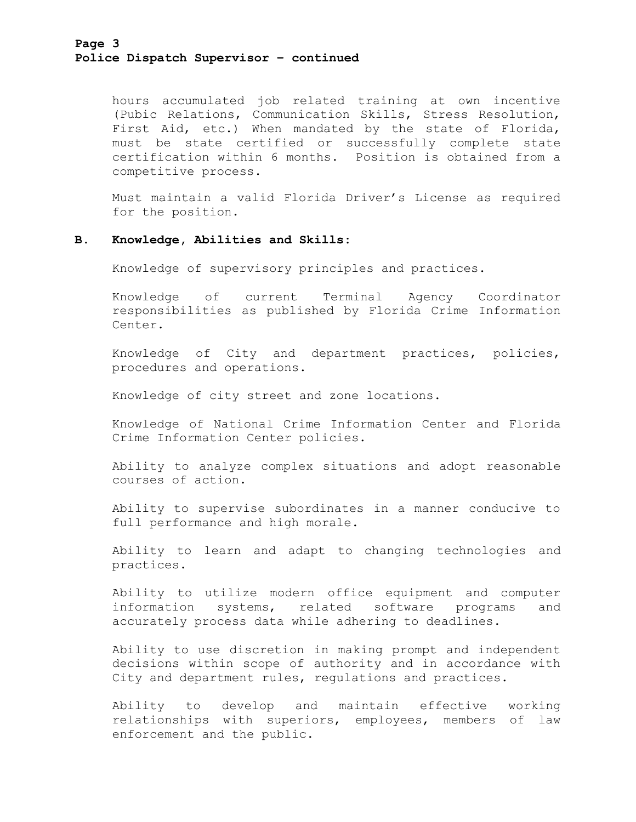hours accumulated job related training at own incentive (Pubic Relations, Communication Skills, Stress Resolution, First Aid, etc.) When mandated by the state of Florida, must be state certified or successfully complete state certification within 6 months. Position is obtained from a competitive process.

Must maintain a valid Florida Driver's License as required for the position.

## **B. Knowledge, Abilities and Skills:**

Knowledge of supervisory principles and practices.

Knowledge of current Terminal Agency Coordinator responsibilities as published by Florida Crime Information Center.

Knowledge of City and department practices, policies, procedures and operations.

Knowledge of city street and zone locations.

Knowledge of National Crime Information Center and Florida Crime Information Center policies.

Ability to analyze complex situations and adopt reasonable courses of action.

Ability to supervise subordinates in a manner conducive to full performance and high morale.

Ability to learn and adapt to changing technologies and practices.

Ability to utilize modern office equipment and computer information systems, related software programs and accurately process data while adhering to deadlines.

Ability to use discretion in making prompt and independent decisions within scope of authority and in accordance with City and department rules, regulations and practices.

Ability to develop and maintain effective working relationships with superiors, employees, members of law enforcement and the public.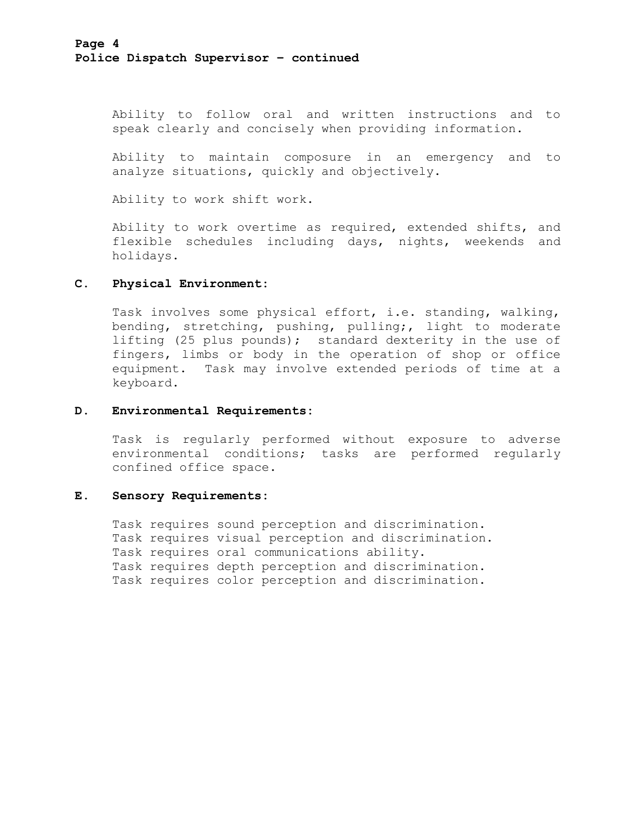Ability to follow oral and written instructions and to speak clearly and concisely when providing information.

Ability to maintain composure in an emergency and to analyze situations, quickly and objectively.

Ability to work shift work.

Ability to work overtime as required, extended shifts, and flexible schedules including days, nights, weekends and holidays.

## **C. Physical Environment:**

Task involves some physical effort, i.e. standing, walking, bending, stretching, pushing, pulling;, light to moderate lifting (25 plus pounds); standard dexterity in the use of fingers, limbs or body in the operation of shop or office equipment. Task may involve extended periods of time at a keyboard.

### **D. Environmental Requirements:**

Task is regularly performed without exposure to adverse environmental conditions; tasks are performed regularly confined office space.

### **E. Sensory Requirements:**

Task requires sound perception and discrimination. Task requires visual perception and discrimination. Task requires oral communications ability. Task requires depth perception and discrimination. Task requires color perception and discrimination.